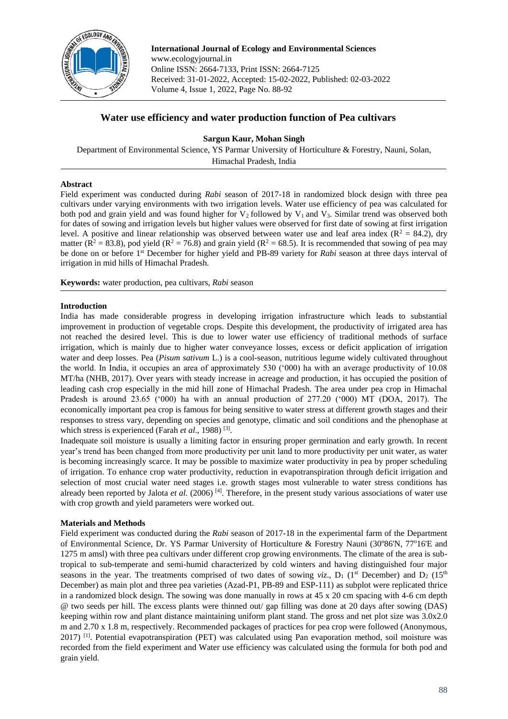

**International Journal of Ecology and Environmental Sciences**  www.ecologyjournal.in Online ISSN: 2664-7133, Print ISSN: 2664-7125 Received: 31-01-2022, Accepted: 15-02-2022, Published: 02-03-2022 Volume 4, Issue 1, 2022, Page No. 88-92

# **Water use efficiency and water production function of Pea cultivars**

**Sargun Kaur, Mohan Singh**

Department of Environmental Science, YS Parmar University of Horticulture & Forestry, Nauni, Solan, Himachal Pradesh, India

## **Abstract**

Field experiment was conducted during *Rabi* season of 2017-18 in randomized block design with three pea cultivars under varying environments with two irrigation levels. Water use efficiency of pea was calculated for both pod and grain yield and was found higher for  $V_2$  followed by  $V_1$  and  $V_3$ . Similar trend was observed both for dates of sowing and irrigation levels but higher values were observed for first date of sowing at first irrigation level. A positive and linear relationship was observed between water use and leaf area index ( $R^2 = 84.2$ ), dry matter ( $R^2 = 83.8$ ), pod yield ( $R^2 = 76.8$ ) and grain yield ( $R^2 = 68.5$ ). It is recommended that sowing of pea may be done on or before 1st December for higher yield and PB-89 variety for *Rabi* season at three days interval of irrigation in mid hills of Himachal Pradesh.

**Keywords:** water production, pea cultivars, *Rabi* season

## **Introduction**

India has made considerable progress in developing irrigation infrastructure which leads to substantial improvement in production of vegetable crops. Despite this development, the productivity of irrigated area has not reached the desired level. This is due to lower water use efficiency of traditional methods of surface irrigation, which is mainly due to higher water conveyance losses, excess or deficit application of irrigation water and deep losses. Pea (*Pisum sativum* L.) is a cool-season, nutritious legume widely cultivated throughout the world. In India, it occupies an area of approximately 530 ('000) ha with an average productivity of 10.08 MT/ha (NHB, 2017). Over years with steady increase in acreage and production, it has occupied the position of leading cash crop especially in the mid hill zone of Himachal Pradesh. The area under pea crop in Himachal Pradesh is around 23.65 ('000) ha with an annual production of 277.20 ('000) MT (DOA, 2017). The economically important pea crop is famous for being sensitive to water stress at different growth stages and their responses to stress vary, depending on species and genotype, climatic and soil conditions and the phenophase at which stress is experienced (Farah *et al.*, 1988)<sup>[3]</sup>.

Inadequate soil moisture is usually a limiting factor in ensuring proper germination and early growth. In recent year's trend has been changed from more productivity per unit land to more productivity per unit water, as water is becoming increasingly scarce. It may be possible to maximize water productivity in pea by proper scheduling of irrigation. To enhance crop water productivity, reduction in evapotranspiration through deficit irrigation and selection of most crucial water need stages i.e. growth stages most vulnerable to water stress conditions has already been reported by Jalota *et al.* (2006)<sup>[4]</sup>. Therefore, in the present study various associations of water use with crop growth and yield parameters were worked out.

## **Materials and Methods**

Field experiment was conducted during the *Rabi* season of 2017-18 in the experimental farm of the Department of Environmental Science, Dr. YS Parmar University of Horticulture & Forestry Nauni (30°86'N, 77°16'E and 1275 m amsl) with three pea cultivars under different crop growing environments. The climate of the area is subtropical to sub-temperate and semi-humid characterized by cold winters and having distinguished four major seasons in the year. The treatments comprised of two dates of sowing *viz*.,  $D_1$  (1<sup>st</sup> December) and  $D_2$  (15<sup>th</sup> December) as main plot and three pea varieties (Azad-P1, PB-89 and ESP-111) as subplot were replicated thrice in a randomized block design. The sowing was done manually in rows at 45 x 20 cm spacing with 4-6 cm depth @ two seeds per hill. The excess plants were thinned out/ gap filling was done at 20 days after sowing (DAS) keeping within row and plant distance maintaining uniform plant stand. The gross and net plot size was 3.0x2.0 m and 2.70 x 1.8 m, respectively. Recommended packages of practices for pea crop were followed (Anonymous, 2017) <sup>[1]</sup>. Potential evapotranspiration (PET) was calculated using Pan evaporation method, soil moisture was recorded from the field experiment and Water use efficiency was calculated using the formula for both pod and grain yield.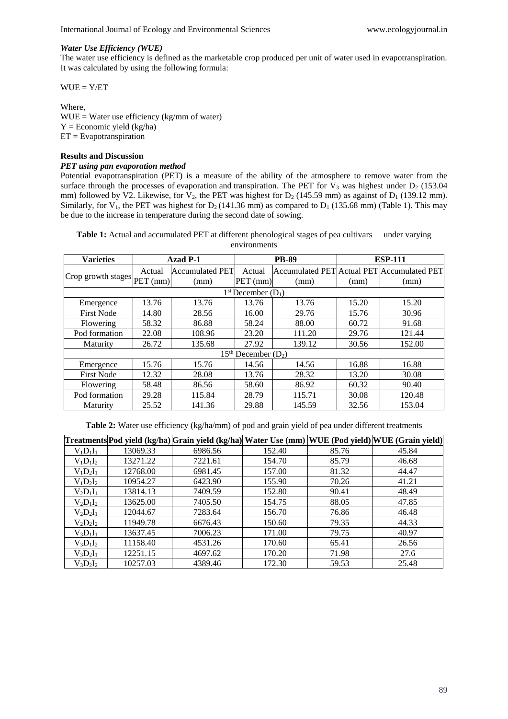#### *Water Use Efficiency (WUE)*

The water use efficiency is defined as the marketable crop produced per unit of water used in evapotranspiration. It was calculated by using the following formula:

 $WUE = Y/ET$ 

Where,  $WUE = Water$  use efficiency (kg/mm of water)  $Y = E$ conomic yield (kg/ha)  $ET = Evapotranspiration$ 

### **Results and Discussion**

## *PET using pan evaporation method*

Potential evapotranspiration (PET) is a measure of the ability of the atmosphere to remove water from the surface through the processes of evaporation and transpiration. The PET for  $V_3$  was highest under  $D_2$  (153.04) mm) followed by V2. Likewise, for  $V_2$ , the PET was highest for  $D_2$  (145.59 mm) as against of  $D_1$  (139.12 mm). Similarly, for V<sub>1</sub>, the PET was highest for  $D_2$  (141.36 mm) as compared to  $D_1$  (135.68 mm) (Table 1). This may be due to the increase in temperature during the second date of sowing.

**Table 1:** Actual and accumulated PET at different phenological stages of pea cultivars under varying environments

| <b>Varieties</b>                              | Azad P-1 |                        | <b>PB-89</b> |        | <b>ESP-111</b> |                                            |  |  |  |
|-----------------------------------------------|----------|------------------------|--------------|--------|----------------|--------------------------------------------|--|--|--|
| $ Crop\text{ growth stages} PET\text{ (mm)} $ | Actual   | <b>Accumulated PET</b> | Actual       |        |                | Accumulated PET Actual PET Accumulated PET |  |  |  |
|                                               |          | (mm)                   | PET (mm)     | (mm)   | (mm)           | (mm)                                       |  |  |  |
| $1st December (D1)$                           |          |                        |              |        |                |                                            |  |  |  |
| Emergence                                     | 13.76    | 13.76                  | 13.76        | 13.76  | 15.20          | 15.20                                      |  |  |  |
| <b>First Node</b>                             | 14.80    | 28.56                  | 16.00        | 29.76  | 15.76          | 30.96                                      |  |  |  |
| Flowering                                     | 58.32    | 86.88                  | 58.24        | 88.00  | 60.72          | 91.68                                      |  |  |  |
| Pod formation                                 | 22.08    | 108.96                 | 23.20        | 111.20 | 29.76          | 121.44                                     |  |  |  |
| Maturity                                      | 26.72    | 135.68                 | 27.92        | 139.12 | 30.56          | 152.00                                     |  |  |  |
| $15th$ December $(D_2)$                       |          |                        |              |        |                |                                            |  |  |  |
| Emergence                                     | 15.76    | 15.76                  | 14.56        | 14.56  | 16.88          | 16.88                                      |  |  |  |
| <b>First Node</b>                             | 12.32    | 28.08                  | 13.76        | 28.32  | 13.20          | 30.08                                      |  |  |  |
| Flowering                                     | 58.48    | 86.56                  | 58.60        | 86.92  | 60.32          | 90.40                                      |  |  |  |
| Pod formation                                 | 29.28    | 115.84                 | 28.79        | 115.71 | 30.08          | 120.48                                     |  |  |  |
| Maturity                                      | 25.52    | 141.36                 | 29.88        | 145.59 | 32.56          | 153.04                                     |  |  |  |

**Table 2:** Water use efficiency (kg/ha/mm) of pod and grain yield of pea under different treatments

|             |          |         |        |       | [Treatments Pod yield (kg/ha) Grain yield (kg/ha) Water Use (mm) WUE (Pod yield) WUE (Grain yield) |
|-------------|----------|---------|--------|-------|----------------------------------------------------------------------------------------------------|
| $V_1D_1I_1$ | 13069.33 | 6986.56 | 152.40 | 85.76 | 45.84                                                                                              |
| $V_1D_1I_2$ | 13271.22 | 7221.61 | 154.70 | 85.79 | 46.68                                                                                              |
| $V_1D_2I_1$ | 12768.00 | 6981.45 | 157.00 | 81.32 | 44.47                                                                                              |
| $V_1D_2I_2$ | 10954.27 | 6423.90 | 155.90 | 70.26 | 41.21                                                                                              |
| $V_2D_1I_1$ | 13814.13 | 7409.59 | 152.80 | 90.41 | 48.49                                                                                              |
| $V_2D_1I_2$ | 13625.00 | 7405.50 | 154.75 | 88.05 | 47.85                                                                                              |
| $V_2D_2I_1$ | 12044.67 | 7283.64 | 156.70 | 76.86 | 46.48                                                                                              |
| $V_2D_2I_2$ | 11949.78 | 6676.43 | 150.60 | 79.35 | 44.33                                                                                              |
| $V_3D_1I_1$ | 13637.45 | 7006.23 | 171.00 | 79.75 | 40.97                                                                                              |
| $V_3D_1I_2$ | 11158.40 | 4531.26 | 170.60 | 65.41 | 26.56                                                                                              |
| $V_3D_2I_1$ | 12251.15 | 4697.62 | 170.20 | 71.98 | 27.6                                                                                               |
| $V_3D_2I_2$ | 10257.03 | 4389.46 | 172.30 | 59.53 | 25.48                                                                                              |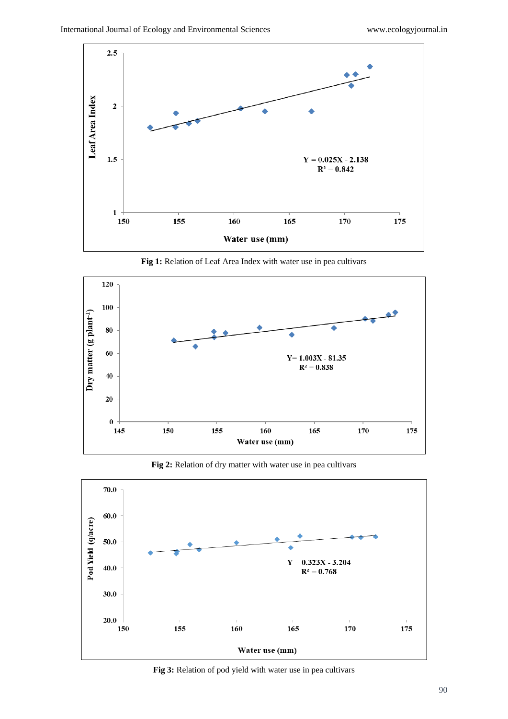

120 100 Dry matter (g plant<sup>-1</sup>)  ${\bf 80}$  $\bullet$ 60  ${\bf Y}{\rm{ = 1.003X}}$  - 81.35  $R^2 = 0.838$  $40\,$ 20  $\pmb{0}$ 155 160 165 170 150 175 145 Water use (mm)

**Fig 1:** Relation of Leaf Area Index with water use in pea cultivars

**Fig 2:** Relation of dry matter with water use in pea cultivars



**Fig 3:** Relation of pod yield with water use in pea cultivars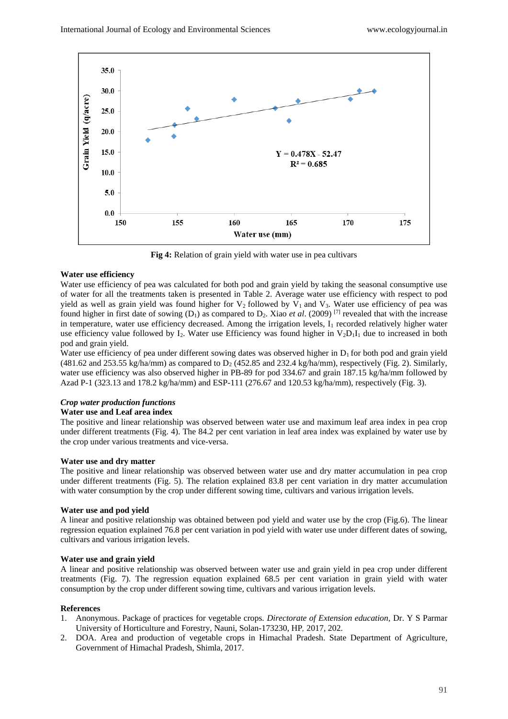

**Fig 4:** Relation of grain yield with water use in pea cultivars

## **Water use efficiency**

Water use efficiency of pea was calculated for both pod and grain yield by taking the seasonal consumptive use of water for all the treatments taken is presented in Table 2. Average water use efficiency with respect to pod yield as well as grain yield was found higher for  $V_2$  followed by  $V_1$  and  $V_3$ . Water use efficiency of pea was found higher in first date of sowing  $(D_1)$  as compared to  $D_2$ . Xiao *et al.* (2009) <sup>[7]</sup> revealed that with the increase in temperature, water use efficiency decreased. Among the irrigation levels,  $I_1$  recorded relatively higher water use efficiency value followed by I<sub>2</sub>. Water use Efficiency was found higher in  $V_2D_1I_1$  due to increased in both pod and grain yield.

Water use efficiency of pea under different sowing dates was observed higher in  $D_1$  for both pod and grain yield (481.62 and 253.55 kg/ha/mm) as compared to  $D_2$  (452.85 and 232.4 kg/ha/mm), respectively (Fig. 2). Similarly, water use efficiency was also observed higher in PB-89 for pod 334.67 and grain 187.15 kg/ha/mm followed by Azad P-1 (323.13 and 178.2 kg/ha/mm) and ESP-111 (276.67 and 120.53 kg/ha/mm), respectively (Fig. 3).

# *Crop water production functions*

## **Water use and Leaf area index**

The positive and linear relationship was observed between water use and maximum leaf area index in pea crop under different treatments (Fig. 4). The 84.2 per cent variation in leaf area index was explained by water use by the crop under various treatments and vice-versa.

#### **Water use and dry matter**

The positive and linear relationship was observed between water use and dry matter accumulation in pea crop under different treatments (Fig. 5). The relation explained 83.8 per cent variation in dry matter accumulation with water consumption by the crop under different sowing time, cultivars and various irrigation levels.

#### **Water use and pod yield**

A linear and positive relationship was obtained between pod yield and water use by the crop (Fig.6). The linear regression equation explained 76.8 per cent variation in pod yield with water use under different dates of sowing, cultivars and various irrigation levels.

#### **Water use and grain yield**

A linear and positive relationship was observed between water use and grain yield in pea crop under different treatments (Fig. 7). The regression equation explained 68.5 per cent variation in grain yield with water consumption by the crop under different sowing time, cultivars and various irrigation levels.

#### **References**

- 1. Anonymous. Package of practices for vegetable crops. *Directorate of Extension education,* Dr. Y S Parmar University of Horticulture and Forestry, Nauni, Solan-173230, HP*,* 2017, 202.
- 2. DOA. Area and production of vegetable crops in Himachal Pradesh. State Department of Agriculture, Government of Himachal Pradesh, Shimla, 2017.